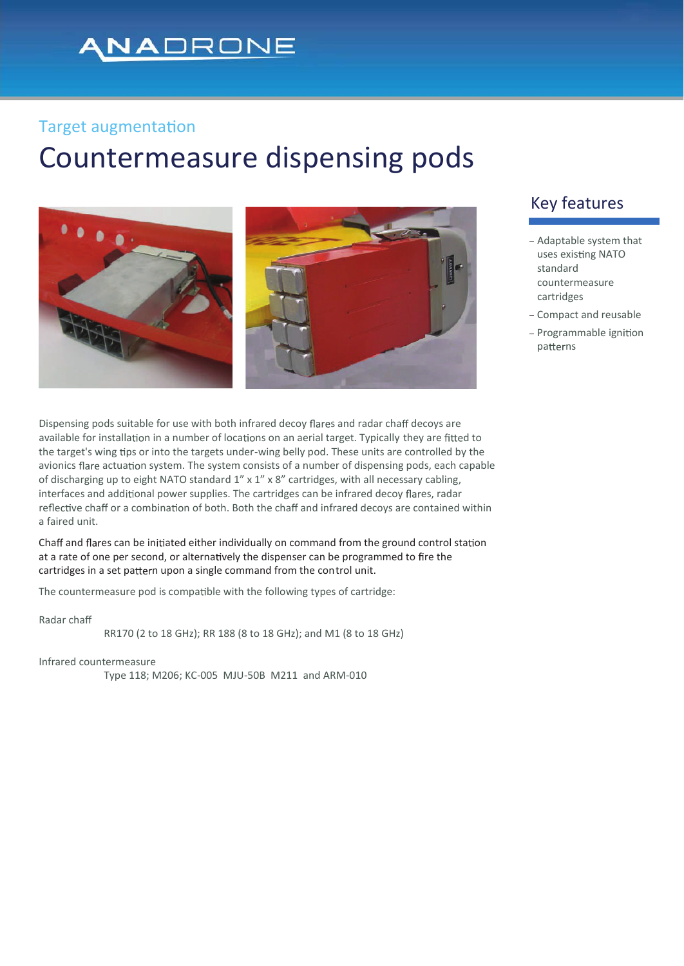## NADRONE

#### **Target augmentation**

# Countermeasure dispensing pods



Dispensing pods suitable for use with both infrared decoy flares and radar chaff decoys are available for installation in a number of locations on an aerial target. Typically they are fitted to the target's wing tips or into the targets under-wing belly pod. These units are controlled by the avionics flare actuation system. The system consists of a number of dispensing pods, each capable of discharging up to eight NATO standard  $1'' \times 1'' \times 8''$  cartridges, with all necessary cabling, interfaces and additional power supplies. The cartridges can be infrared decoy flares, radar reflective chaff or a combination of both. Both the chaff and infrared decoys are contained within a faired unit.

Chaff and flares can be initiated either individually on command from the ground control station at a rate of one per second, or alternatively the dispenser can be programmed to fire the cartridges in a set pattern upon a single command from the control unit.

The countermeasure pod is compatible with the following types of cartridge:

Radar cha

RR170 (2 to 18 GHz); RR 188 (8 to 18 GHz); and M1 (8 to 18 GHz)

Infrared countermeasure

Type 118; M206; KC-005 MJU-50B M211 and ARM-010

### Key features

- Adaptable system that uses existing NATO standard countermeasure cartridges
- Compact and reusable
- Programmable ignition patterns